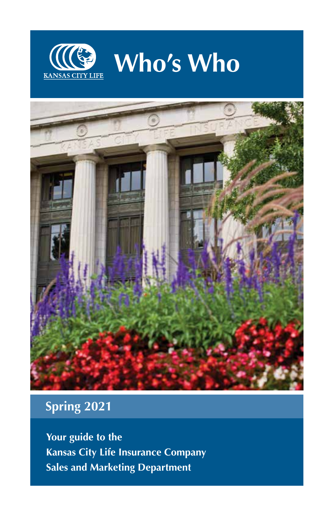



# **Spring 2021**

**Your guide to the Kansas City Life Insurance Company Sales and Marketing Department**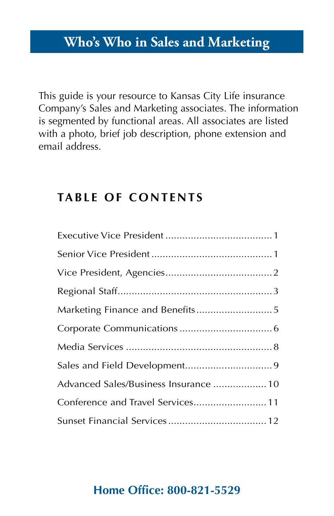## **Who's Who in Sales and Marketing**

This guide is your resource to Kansas City Life insurance Company's Sales and Marketing associates. The information is segmented by functional areas. All associates are listed with a photo, brief job description, phone extension and email address.

### **TABLE OF CONTENTS**

| Advanced Sales/Business Insurance  10 |
|---------------------------------------|
| Conference and Travel Services 11     |
|                                       |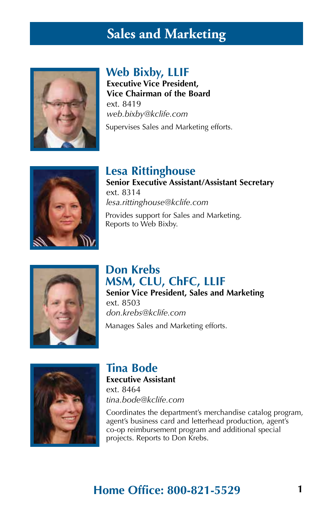## **Sales and Marketing**



### **Web Bixby, LLIF**

**Executive Vice President, Vice Chairman of the Board** ext. 8419 *web.bixby@kclife.com* Supervises Sales and Marketing efforts.



**Lesa Rittinghouse Senior Executive Assistant/Assistant Secretary** ext. 8314 *lesa.rittinghouse@kclife.com* Provides support for Sales and Marketing.



#### **Don Krebs MSM, CLU, ChFC, LLIF**

**Senior Vice President, Sales and Marketing** ext. 8503 *don.krebs@kclife.com*

Manages Sales and Marketing efforts.



#### **Tina Bode Executive Assistant**

Reports to Web Bixby.

ext. 8464 *tina.bode@kclife.com*

Coordinates the department's merchandise catalog program, agent's business card and letterhead production, agent's co-op reimbursement program and additional special projects. Reports to Don Krebs.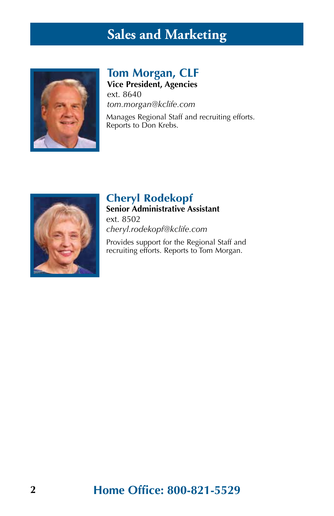# **Sales and Marketing**



#### **Tom Morgan, CLF Vice President, Agencies**

ext. 8640 *tom.morgan@kclife.com*

Manages Regional Staff and recruiting efforts. Reports to Don Krebs.



## **Cheryl Rodekopf**

**Senior Administrative Assistant** ext. 8502

*cheryl.rodekopf@kclife.com*

Provides support for the Regional Staff and recruiting efforts. Reports to Tom Morgan.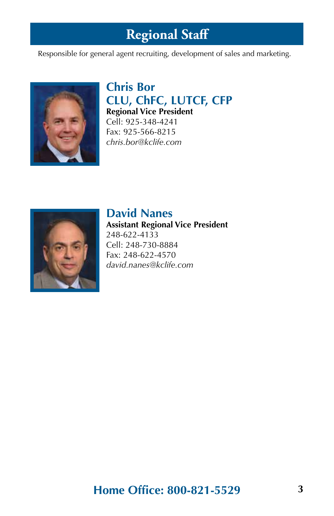# **Regional Staff**

Responsible for general agent recruiting, development of sales and marketing.



#### **Chris Bor CLU, ChFC, LUTCF, CFP Regional Vice President** Cell: 925-348-4241 Fax: 925-566-8215

*chris.bor@kclife.com*



### **David Nanes**

**Assistant Regional Vice President** 248-622-4133 Cell: 248-730-8884 Fax: 248-622-4570 *david.nanes@kclife.com*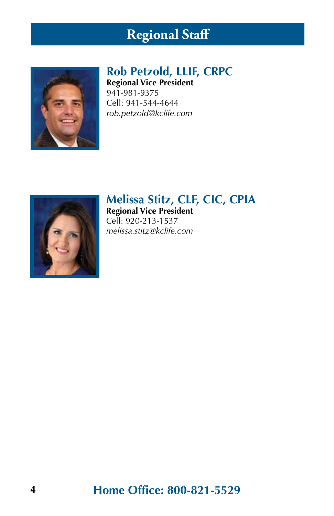# **Regional Staff**



### **Rob Petzold, LLIF, CRPC**

**Regional Vice President** 941-981-9375 Cell: 941-544-4644 *rob.petzold@kclife.com*



## **Melissa Stitz, CLF, CIC, CPIA**

**Regional Vice President** Cell: 920-213-1537 *melissa.stitz@kclife.com*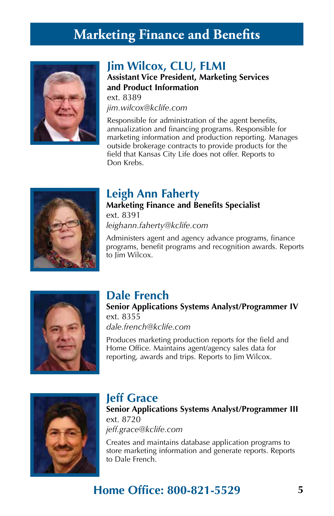# **Marketing Finance and Benefits**



#### **Jim Wilcox, CLU, FLMI**

**Assistant Vice President, Marketing Services and Product Information** ext. 8389

*jim.wilcox@kclife.com*

Responsible for administration of the agent benefits, annualization and financing programs. Responsible for marketing information and production reporting. Manages outside brokerage contracts to provide products for the field that Kansas City Life does not offer. Reports to Don Krebs.



### **Leigh Ann Faherty**

**Marketing Finance and Benefits Specialist** ext. 8391 *leighann.faherty@kclife.com*

Administers agent and agency advance programs, finance programs, benefit programs and recognition awards. Reports to I<sub>im</sub> Wilcox.



### **Dale French**

**Senior Applications Systems Analyst/Programmer IV** ext. 8355 *dale.french@kclife.com*

Produces marketing production reports for the field and Home Office. Maintains agent/agency sales data for reporting, awards and trips. Reports to Jim Wilcox.



#### **Jeff Grace**

**Senior Applications Systems Analyst/Programmer III** ext. 8720 *jeff.grace@kclife.com*

Creates and maintains database application programs to store marketing information and generate reports. Reports to Dale French.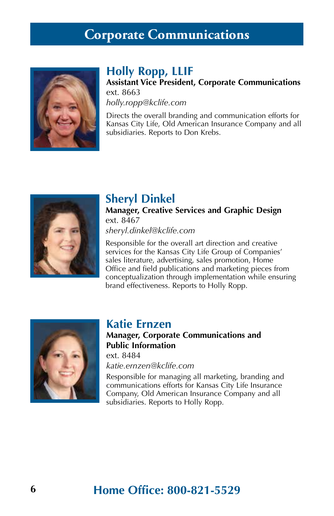## **Corporate Communications**



### **Holly Ropp, LLIF**

**Assistant Vice President, Corporate Communications** ext. 8663 *holly.ropp@kclife.com*

Directs the overall branding and communication efforts for Kansas City Life, Old American Insurance Company and all subsidiaries. Reports to Don Krebs.



### **Sheryl Dinkel**

**Manager, Creative Services and Graphic Design** ext. 8467

*sheryl.dinkel@kclife.com*

Responsible for the overall art direction and creative services for the Kansas City Life Group of Companies' sales literature, advertising, sales promotion, Home Office and field publications and marketing pieces from conceptualization through implementation while ensuring brand effectiveness. Reports to Holly Ropp.



#### **Katie Ernzen**

#### **Manager, Corporate Communications and Public Information**

ext. 8484 *katie.ernzen@kclife.com*

Responsible for managing all marketing, branding and communications efforts for Kansas City Life Insurance Company, Old American Insurance Company and all subsidiaries. Reports to Holly Ropp.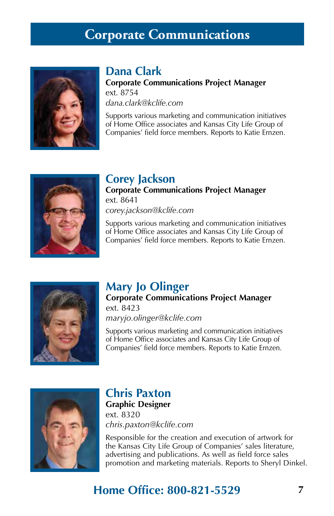## **Corporate Communications**



#### **Dana Clark**

**Corporate Communications Project Manager** ext. 8754 *dana.clark@kclife.com*

Supports various marketing and communication initiatives of Home Office associates and Kansas City Life Group of Companies' field force members. Reports to Katie Ernzen.



### **Corey Jackson**

**Corporate Communications Project Manager** ext. 8641 *corey.jackson@kclife.com*

Supports various marketing and communication initiatives of Home Office associates and Kansas City Life Group of Companies' field force members. Reports to Katie Ernzen.



### **Mary Jo Olinger**

**Corporate Communications Project Manager**  ext. 8423

*maryjo.olinger@kclife.com*

Supports various marketing and communication initiatives of Home Office associates and Kansas City Life Group of Companies' field force members. Reports to Katie Ernzen.



### **Chris Paxton**

**Graphic Designer** ext. 8320 *chris.paxton@kclife.com*

Responsible for the creation and execution of artwork for the Kansas City Life Group of Companies' sales literature, advertising and publications. As well as field force sales promotion and marketing materials. Reports to Sheryl Dinkel.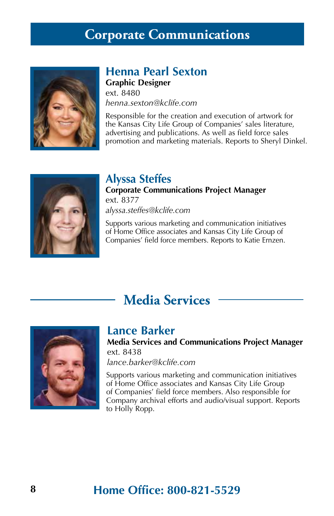### **Corporate Communications**



### **Henna Pearl Sexton**

**Graphic Designer** ext. 8480 *henna.sexton@kclife.com*

Responsible for the creation and execution of artwork for the Kansas City Life Group of Companies' sales literature, advertising and publications. As well as field force sales promotion and marketing materials. Reports to Sheryl Dinkel.



#### **Alyssa Steffes**

**Corporate Communications Project Manager** ext. 8377 *alyssa.steffes@kclife.com*

Supports various marketing and communication initiatives of Home Office associates and Kansas City Life Group of Companies' field force members. Reports to Katie Ernzen.

## **Media Services**



#### **Lance Barker**

**Media Services and Communications Project Manager** ext. 8438

*lance.barker@kclife.com*

Supports various marketing and communication initiatives of Home Office associates and Kansas City Life Group of Companies' field force members. Also responsible for Company archival efforts and audio/visual support. Reports to Holly Ropp.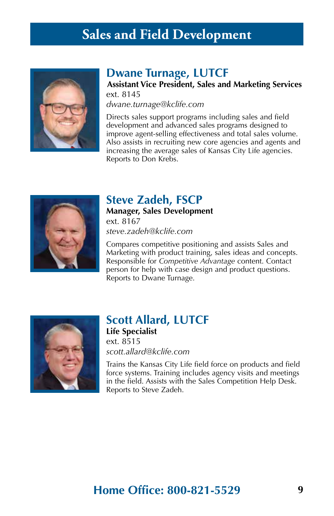## **Sales and Field Development**



#### **Dwane Turnage, LUTCF**

**Assistant Vice President, Sales and Marketing Services** ext. 8145

*dwane.turnage@kclife.com*

Directs sales support programs including sales and field development and advanced sales programs designed to improve agent-selling effectiveness and total sales volume. Also assists in recruiting new core agencies and agents and increasing the average sales of Kansas City Life agencies. Reports to Don Krebs.



#### **Steve Zadeh, FSCP**

**Manager, Sales Development** ext. 8167 *steve.zadeh@kclife.com*

Compares competitive positioning and assists Sales and Marketing with product training, sales ideas and concepts. Responsible for *Competitive Advantage* content. Contact person for help with case design and product questions. Reports to Dwane Turnage.



### **Scott Allard, LUTCF**

**Life Specialist** ext. 8515 *scott.allard@kclife.com*

Trains the Kansas City Life field force on products and field force systems. Training includes agency visits and meetings in the field. Assists with the Sales Competition Help Desk. Reports to Steve Zadeh.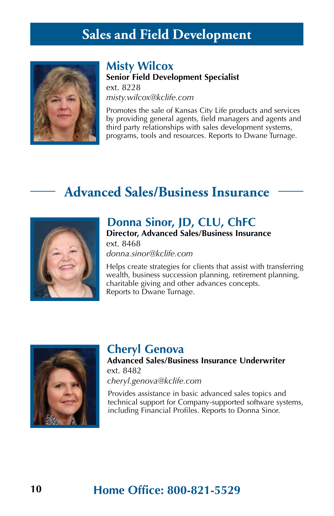## **Sales and Field Development**



#### **Misty Wilcox**

**Senior Field Development Specialist** ext. 8228

*misty.wilcox@kclife.com*

Promotes the sale of Kansas City Life products and services by providing general agents, field managers and agents and third party relationships with sales development systems, programs, tools and resources. Reports to Dwane Turnage.

## **Advanced Sales/Business Insurance**



### **Donna Sinor, JD, CLU, ChFC**

**Director, Advanced Sales/Business Insurance** ext. 8468

*donna.sinor@kclife.com*

Helps create strategies for clients that assist with transferring wealth, business succession planning, retirement planning, charitable giving and other advances concepts. Reports to Dwane Turnage.



#### **Cheryl Genova**

**Advanced Sales/Business Insurance Underwriter** ext. 8482 *cheryl.genova@kclife.com*

Provides assistance in basic advanced sales topics and technical support for Company-supported software systems, including Financial Profiles. Reports to Donna Sinor.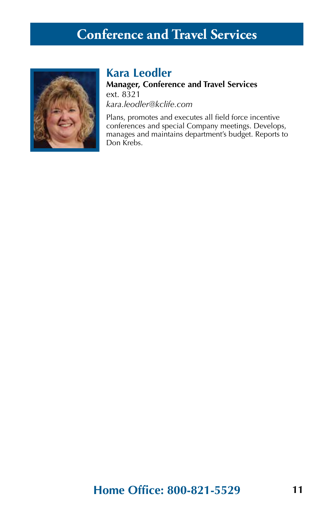# **Conference and Travel Services**



### **Kara Leodler**

**Manager, Conference and Travel Services** ext. 8321 *kara.leodler@kclife.com*

Plans, promotes and executes all field force incentive conferences and special Company meetings. Develops, manages and maintains department's budget. Reports to Don Krebs.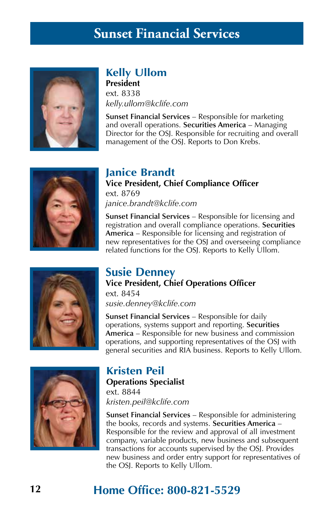## **Sunset Financial Services**



### **Kelly Ullom**

**President** ext. 8338 *kelly.ullom@kclife.com*

**Sunset Financial Services** – Responsible for marketing and overall operations. **Securities America** – Managing Director for the OSJ. Responsible for recruiting and overall management of the OSJ. Reports to Don Krebs.



#### **Janice Brandt Vice President, Chief Compliance Officer** ext. 8769 *janice.brandt@kclife.com*

**Sunset Financial Services** – Responsible for licensing and registration and overall compliance operations. **Securities America** – Responsible for licensing and registration of new representatives for the OSJ and overseeing compliance related functions for the OSJ. Reports to Kelly Ullom.



#### **Susie Denney Vice President, Chief Operations Officer** ext. 8454

*susie.denney@kclife.com*

**Sunset Financial Services** – Responsible for daily operations, systems support and reporting. **Securities America** – Responsible for new business and commission operations, and supporting representatives of the OSJ with general securities and RIA business. Reports to Kelly Ullom.



#### **Kristen Peil Operations Specialist**

ext. 8844 *kristen.peil@kclife.com*

**Sunset Financial Services** – Responsible for administering the books, records and systems. **Securities America** – Responsible for the review and approval of all investment company, variable products, new business and subsequent transactions for accounts supervised by the OSJ. Provides new business and order entry support for representatives of the OSJ. Reports to Kelly Ullom.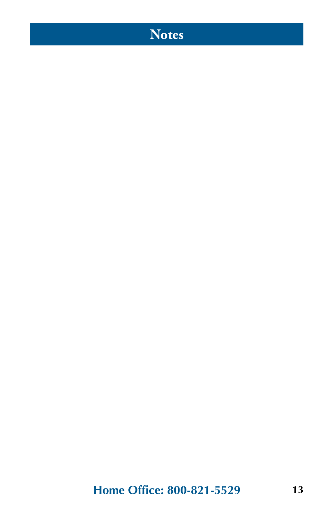# **Notes**